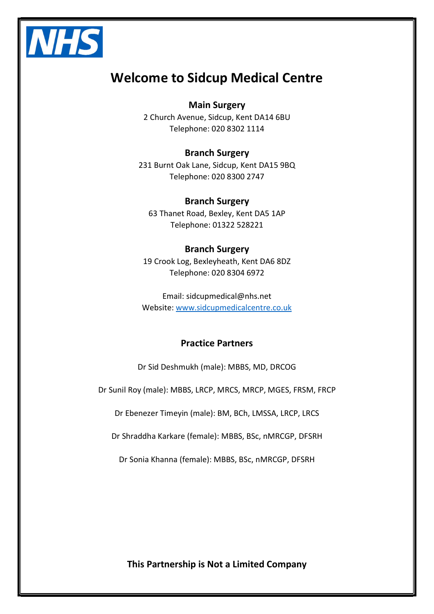

# Welcome to Sidcup Medical Centre

#### Main Surgery

2 Church Avenue, Sidcup, Kent DA14 6BU Telephone: 020 8302 1114

#### Branch Surgery

231 Burnt Oak Lane, Sidcup, Kent DA15 9BQ Telephone: 020 8300 2747

#### Branch Surgery

63 Thanet Road, Bexley, Kent DA5 1AP Telephone: 01322 528221

## Branch Surgery

19 Crook Log, Bexleyheath, Kent DA6 8DZ Telephone: 020 8304 6972

Email: sidcupmedical@nhs.net Website: www.sidcupmedicalcentre.co.uk

#### Practice Partners

Dr Sid Deshmukh (male): MBBS, MD, DRCOG

Dr Sunil Roy (male): MBBS, LRCP, MRCS, MRCP, MGES, FRSM, FRCP

Dr Ebenezer Timeyin (male): BM, BCh, LMSSA, LRCP, LRCS

Dr Shraddha Karkare (female): MBBS, BSc, nMRCGP, DFSRH

Dr Sonia Khanna (female): MBBS, BSc, nMRCGP, DFSRH

This Partnership is Not a Limited Company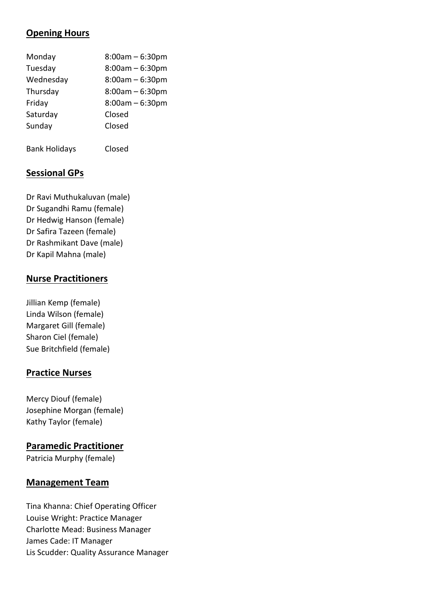## Opening Hours

| Monday    | $8:00am - 6:30pm$ |
|-----------|-------------------|
| Tuesday   | $8:00am - 6:30pm$ |
| Wednesday | $8:00am - 6:30pm$ |
| Thursday  | $8:00am - 6:30pm$ |
| Friday    | $8:00am - 6:30pm$ |
| Saturday  | Closed            |
| Sunday    | Closed            |
|           |                   |

Bank Holidays Closed

## Sessional GPs

Dr Ravi Muthukaluvan (male) Dr Sugandhi Ramu (female) Dr Hedwig Hanson (female) Dr Safira Tazeen (female) Dr Rashmikant Dave (male) Dr Kapil Mahna (male)

#### Nurse Practitioners

Jillian Kemp (female) Linda Wilson (female) Margaret Gill (female) Sharon Ciel (female) Sue Britchfield (female)

## Practice Nurses

Mercy Diouf (female) Josephine Morgan (female) Kathy Taylor (female)

#### Paramedic Practitioner

Patricia Murphy (female)

#### Management Team

Tina Khanna: Chief Operating Officer Louise Wright: Practice Manager Charlotte Mead: Business Manager James Cade: IT Manager Lis Scudder: Quality Assurance Manager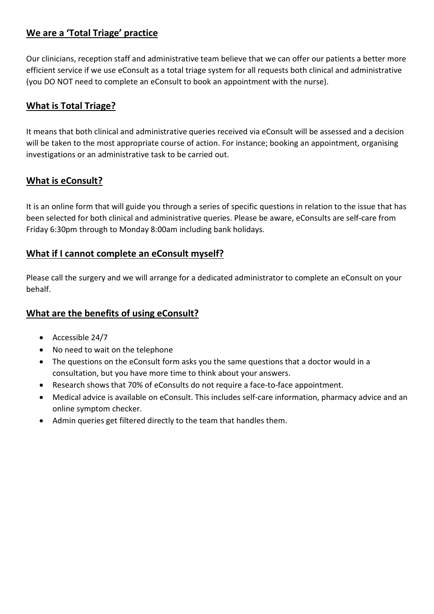## We are a 'Total Triage' practice

Our clinicians, reception staff and administrative team believe that we can offer our patients a better more efficient service if we use eConsult as a total triage system for all requests both clinical and administrative (you DO NOT need to complete an eConsult to book an appointment with the nurse).

## What is Total Triage?

It means that both clinical and administrative queries received via eConsult will be assessed and a decision will be taken to the most appropriate course of action. For instance; booking an appointment, organising investigations or an administrative task to be carried out.

## What is eConsult?

It is an online form that will guide you through a series of specific questions in relation to the issue that has been selected for both clinical and administrative queries. Please be aware, eConsults are self-care from Friday 6:30pm through to Monday 8:00am including bank holidays.

## What if I cannot complete an eConsult myself?

Please call the surgery and we will arrange for a dedicated administrator to complete an eConsult on your behalf.

## What are the benefits of using eConsult?

- Accessible 24/7
- No need to wait on the telephone
- The questions on the eConsult form asks you the same questions that a doctor would in a consultation, but you have more time to think about your answers.
- Research shows that 70% of eConsults do not require a face-to-face appointment.
- Medical advice is available on eConsult. This includes self-care information, pharmacy advice and an online symptom checker.
- Admin queries get filtered directly to the team that handles them.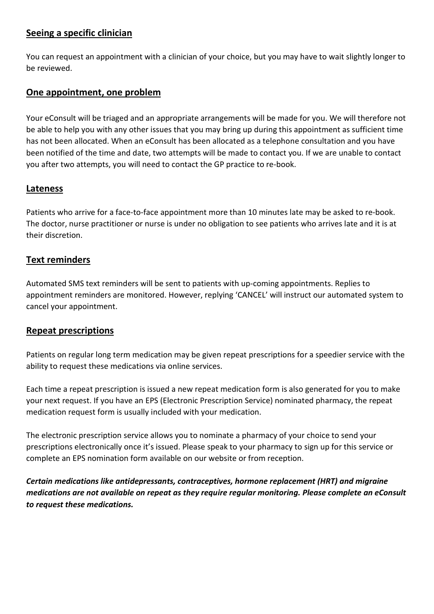### Seeing a specific clinician

You can request an appointment with a clinician of your choice, but you may have to wait slightly longer to be reviewed.

### One appointment, one problem

Your eConsult will be triaged and an appropriate arrangements will be made for you. We will therefore not be able to help you with any other issues that you may bring up during this appointment as sufficient time has not been allocated. When an eConsult has been allocated as a telephone consultation and you have been notified of the time and date, two attempts will be made to contact you. If we are unable to contact you after two attempts, you will need to contact the GP practice to re-book.

#### Lateness

Patients who arrive for a face-to-face appointment more than 10 minutes late may be asked to re-book. The doctor, nurse practitioner or nurse is under no obligation to see patients who arrives late and it is at their discretion.

#### Text reminders

Automated SMS text reminders will be sent to patients with up-coming appointments. Replies to appointment reminders are monitored. However, replying 'CANCEL' will instruct our automated system to cancel your appointment.

## Repeat prescriptions

Patients on regular long term medication may be given repeat prescriptions for a speedier service with the ability to request these medications via online services.

Each time a repeat prescription is issued a new repeat medication form is also generated for you to make your next request. If you have an EPS (Electronic Prescription Service) nominated pharmacy, the repeat medication request form is usually included with your medication.

The electronic prescription service allows you to nominate a pharmacy of your choice to send your prescriptions electronically once it's issued. Please speak to your pharmacy to sign up for this service or complete an EPS nomination form available on our website or from reception.

Certain medications like antidepressants, contraceptives, hormone replacement (HRT) and migraine medications are not available on repeat as they require regular monitoring. Please complete an eConsult to request these medications.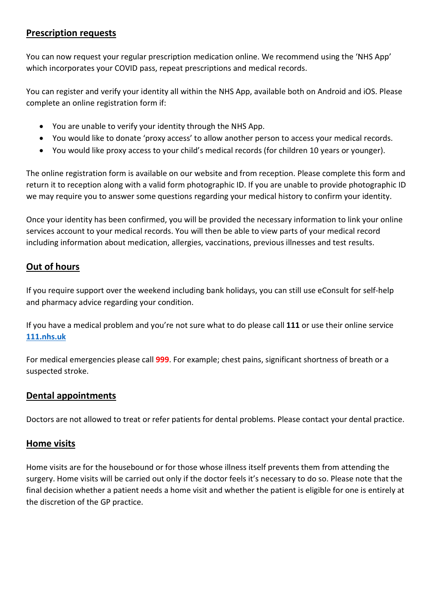#### Prescription requests

You can now request your regular prescription medication online. We recommend using the 'NHS App' which incorporates your COVID pass, repeat prescriptions and medical records.

You can register and verify your identity all within the NHS App, available both on Android and iOS. Please complete an online registration form if:

- You are unable to verify your identity through the NHS App.
- You would like to donate 'proxy access' to allow another person to access your medical records.
- You would like proxy access to your child's medical records (for children 10 years or younger).

The online registration form is available on our website and from reception. Please complete this form and return it to reception along with a valid form photographic ID. If you are unable to provide photographic ID we may require you to answer some questions regarding your medical history to confirm your identity.

Once your identity has been confirmed, you will be provided the necessary information to link your online services account to your medical records. You will then be able to view parts of your medical record including information about medication, allergies, vaccinations, previous illnesses and test results.

## Out of hours

If you require support over the weekend including bank holidays, you can still use eConsult for self-help and pharmacy advice regarding your condition.

If you have a medical problem and you're not sure what to do please call 111 or use their online service 111.nhs.uk

For medical emergencies please call 999. For example; chest pains, significant shortness of breath or a suspected stroke.

## Dental appointments

Doctors are not allowed to treat or refer patients for dental problems. Please contact your dental practice.

## Home visits

Home visits are for the housebound or for those whose illness itself prevents them from attending the surgery. Home visits will be carried out only if the doctor feels it's necessary to do so. Please note that the final decision whether a patient needs a home visit and whether the patient is eligible for one is entirely at the discretion of the GP practice.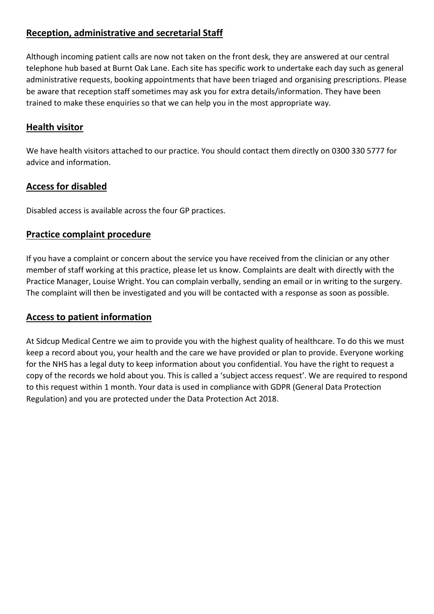## Reception, administrative and secretarial Staff

Although incoming patient calls are now not taken on the front desk, they are answered at our central telephone hub based at Burnt Oak Lane. Each site has specific work to undertake each day such as general administrative requests, booking appointments that have been triaged and organising prescriptions. Please be aware that reception staff sometimes may ask you for extra details/information. They have been trained to make these enquiries so that we can help you in the most appropriate way.

### **Health visitor**

We have health visitors attached to our practice. You should contact them directly on 0300 330 5777 for advice and information.

#### Access for disabled

Disabled access is available across the four GP practices.

#### Practice complaint procedure

If you have a complaint or concern about the service you have received from the clinician or any other member of staff working at this practice, please let us know. Complaints are dealt with directly with the Practice Manager, Louise Wright. You can complain verbally, sending an email or in writing to the surgery. The complaint will then be investigated and you will be contacted with a response as soon as possible.

#### Access to patient information

At Sidcup Medical Centre we aim to provide you with the highest quality of healthcare. To do this we must keep a record about you, your health and the care we have provided or plan to provide. Everyone working for the NHS has a legal duty to keep information about you confidential. You have the right to request a copy of the records we hold about you. This is called a 'subject access request'. We are required to respond to this request within 1 month. Your data is used in compliance with GDPR (General Data Protection Regulation) and you are protected under the Data Protection Act 2018.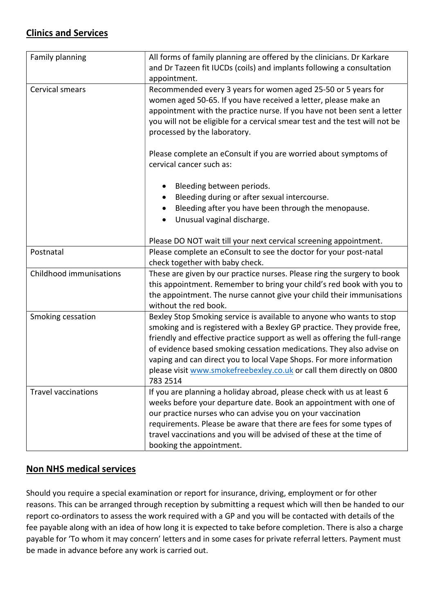## Clinics and Services

| Family planning            | All forms of family planning are offered by the clinicians. Dr Karkare<br>and Dr Tazeen fit IUCDs (coils) and implants following a consultation                                                                                                                                                                                                                                                                                                                  |  |
|----------------------------|------------------------------------------------------------------------------------------------------------------------------------------------------------------------------------------------------------------------------------------------------------------------------------------------------------------------------------------------------------------------------------------------------------------------------------------------------------------|--|
|                            | appointment.                                                                                                                                                                                                                                                                                                                                                                                                                                                     |  |
| Cervical smears            | Recommended every 3 years for women aged 25-50 or 5 years for<br>women aged 50-65. If you have received a letter, please make an<br>appointment with the practice nurse. If you have not been sent a letter<br>you will not be eligible for a cervical smear test and the test will not be<br>processed by the laboratory.                                                                                                                                       |  |
|                            | Please complete an eConsult if you are worried about symptoms of<br>cervical cancer such as:                                                                                                                                                                                                                                                                                                                                                                     |  |
|                            | Bleeding between periods.                                                                                                                                                                                                                                                                                                                                                                                                                                        |  |
|                            | Bleeding during or after sexual intercourse.                                                                                                                                                                                                                                                                                                                                                                                                                     |  |
|                            | Bleeding after you have been through the menopause.                                                                                                                                                                                                                                                                                                                                                                                                              |  |
|                            | Unusual vaginal discharge.                                                                                                                                                                                                                                                                                                                                                                                                                                       |  |
|                            | Please DO NOT wait till your next cervical screening appointment.                                                                                                                                                                                                                                                                                                                                                                                                |  |
| Postnatal                  | Please complete an eConsult to see the doctor for your post-natal<br>check together with baby check.                                                                                                                                                                                                                                                                                                                                                             |  |
| Childhood immunisations    | These are given by our practice nurses. Please ring the surgery to book                                                                                                                                                                                                                                                                                                                                                                                          |  |
|                            | this appointment. Remember to bring your child's red book with you to                                                                                                                                                                                                                                                                                                                                                                                            |  |
|                            | the appointment. The nurse cannot give your child their immunisations<br>without the red book.                                                                                                                                                                                                                                                                                                                                                                   |  |
| Smoking cessation          | Bexley Stop Smoking service is available to anyone who wants to stop<br>smoking and is registered with a Bexley GP practice. They provide free,<br>friendly and effective practice support as well as offering the full-range<br>of evidence based smoking cessation medications. They also advise on<br>vaping and can direct you to local Vape Shops. For more information<br>please visit www.smokefreebexley.co.uk or call them directly on 0800<br>783 2514 |  |
| <b>Travel vaccinations</b> | If you are planning a holiday abroad, please check with us at least 6<br>weeks before your departure date. Book an appointment with one of<br>our practice nurses who can advise you on your vaccination<br>requirements. Please be aware that there are fees for some types of<br>travel vaccinations and you will be advised of these at the time of<br>booking the appointment.                                                                               |  |

## Non NHS medical services

Should you require a special examination or report for insurance, driving, employment or for other reasons. This can be arranged through reception by submitting a request which will then be handed to our report co-ordinators to assess the work required with a GP and you will be contacted with details of the fee payable along with an idea of how long it is expected to take before completion. There is also a charge payable for 'To whom it may concern' letters and in some cases for private referral letters. Payment must be made in advance before any work is carried out.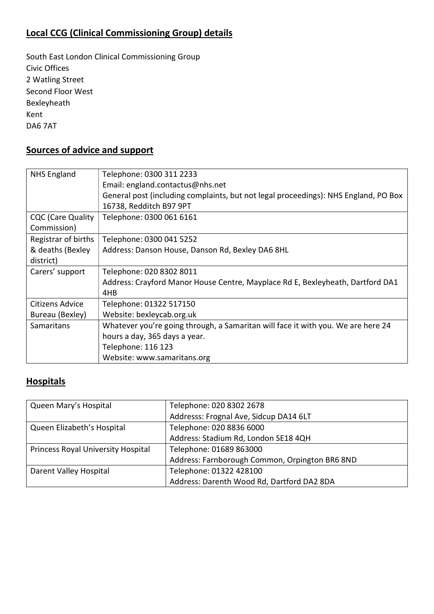## Local CCG (Clinical Commissioning Group) details

South East London Clinical Commissioning Group Civic Offices 2 Watling Street Second Floor West Bexleyheath Kent DA6 7AT

## Sources of advice and support

| <b>NHS England</b>       | Telephone: 0300 311 2233                                                            |
|--------------------------|-------------------------------------------------------------------------------------|
|                          | Email: england.contactus@nhs.net                                                    |
|                          | General post (including complaints, but not legal proceedings): NHS England, PO Box |
|                          | 16738, Redditch B97 9PT                                                             |
| <b>CQC</b> (Care Quality | Telephone: 0300 061 6161                                                            |
| Commission)              |                                                                                     |
| Registrar of births      | Telephone: 0300 041 5252                                                            |
| & deaths (Bexley         | Address: Danson House, Danson Rd, Bexley DA6 8HL                                    |
| district)                |                                                                                     |
| Carers' support          | Telephone: 020 8302 8011                                                            |
|                          | Address: Crayford Manor House Centre, Mayplace Rd E, Bexleyheath, Dartford DA1      |
|                          | 4HB                                                                                 |
| Citizens Advice          | Telephone: 01322 517150                                                             |
| Bureau (Bexley)          | Website: bexleycab.org.uk                                                           |
| Samaritans               | Whatever you're going through, a Samaritan will face it with you. We are here 24    |
|                          | hours a day, 365 days a year.                                                       |
|                          | Telephone: 116 123                                                                  |
|                          | Website: www.samaritans.org                                                         |

## **Hospitals**

| Queen Mary's Hospital              | Telephone: 020 8302 2678                       |
|------------------------------------|------------------------------------------------|
|                                    | Addresss: Frognal Ave, Sidcup DA14 6LT         |
| Queen Elizabeth's Hospital         | Telephone: 020 8836 6000                       |
|                                    | Address: Stadium Rd, London SE18 4QH           |
| Princess Royal University Hospital | Telephone: 01689 863000                        |
|                                    | Address: Farnborough Common, Orpington BR6 8ND |
| Darent Valley Hospital             | Telephone: 01322 428100                        |
|                                    | Address: Darenth Wood Rd, Dartford DA2 8DA     |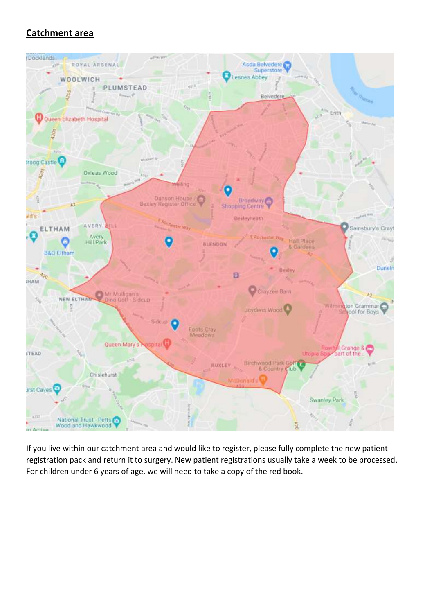## Catchment area



If you live within our catchment area and would like to register, please fully complete the new patient registration pack and return it to surgery. New patient registrations usually take a week to be processed. For children under 6 years of age, we will need to take a copy of the red book.